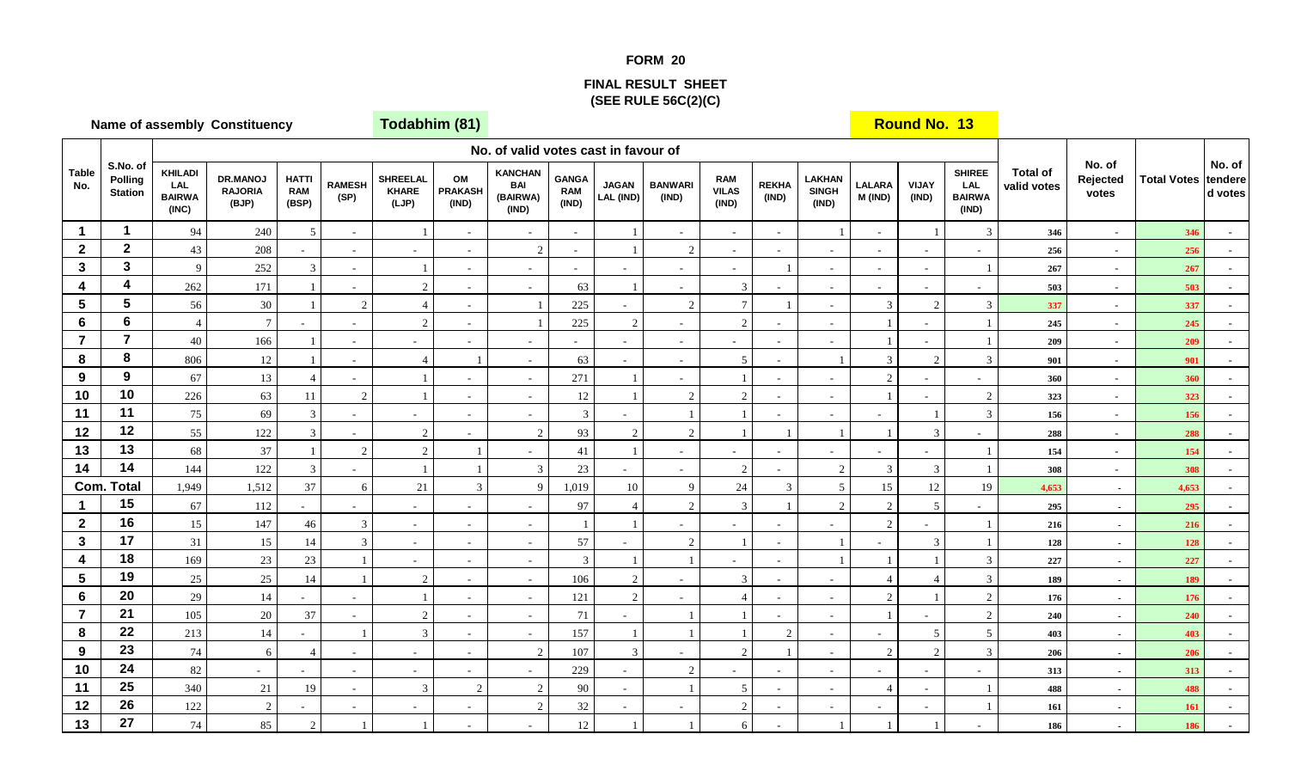## **FORM 20**

## **FINAL RESULT SHEET(SEE RULE 56C(2)(C)**

|                         |                                       |                                                        | Name of assembly Constituency              |                                     |                       | Todabhim (81)                            |                               |                                                   |                                     |                           |                             |                                     |                       |                                        |                          | <b>Round No. 13</b>      |                                                       |                                |                             |                    |                              |
|-------------------------|---------------------------------------|--------------------------------------------------------|--------------------------------------------|-------------------------------------|-----------------------|------------------------------------------|-------------------------------|---------------------------------------------------|-------------------------------------|---------------------------|-----------------------------|-------------------------------------|-----------------------|----------------------------------------|--------------------------|--------------------------|-------------------------------------------------------|--------------------------------|-----------------------------|--------------------|------------------------------|
|                         |                                       |                                                        |                                            |                                     |                       |                                          |                               | No. of valid votes cast in favour of              |                                     |                           |                             |                                     |                       |                                        |                          |                          |                                                       |                                |                             |                    |                              |
| <b>Table</b><br>No.     | S.No. of<br>Polling<br><b>Station</b> | <b>KHILADI</b><br><b>LAL</b><br><b>BAIRWA</b><br>(INC) | <b>DR.MANOJ</b><br><b>RAJORIA</b><br>(BJP) | <b>HATTI</b><br><b>RAM</b><br>(BSP) | <b>RAMESH</b><br>(SP) | <b>SHREELAL</b><br><b>KHARE</b><br>(LJP) | OM<br><b>PRAKASH</b><br>(IND) | <b>KANCHAN</b><br><b>BAI</b><br>(BAIRWA)<br>(IND) | <b>GANGA</b><br><b>RAM</b><br>(IND) | <b>JAGAN</b><br>LAL (IND) | <b>BANWARI</b><br>(IND)     | <b>RAM</b><br><b>VILAS</b><br>(IND) | <b>REKHA</b><br>(IND) | <b>LAKHAN</b><br><b>SINGH</b><br>(IND) | <b>LALARA</b><br>M (IND) | <b>VIJAY</b><br>(IND)    | <b>SHIREE</b><br><b>LAL</b><br><b>BAIRWA</b><br>(IND) | <b>Total of</b><br>valid votes | No. of<br>Rejected<br>votes | <b>Total Votes</b> | No. of<br>tendere<br>d votes |
| $\mathbf{1}$            | $\mathbf 1$                           | 94                                                     | 240                                        | -5                                  | $\sim$                |                                          | $\sim$                        | $\sim$                                            | $\sim$                              |                           |                             | $\sim$                              | $\sim$                |                                        | $\sim$                   |                          | 3                                                     | 346                            | $\sim$                      | 346                |                              |
| $\mathbf{2}$            | $\mathbf{2}$                          | 43                                                     | 208                                        |                                     | $\sim$                | $\sim$                                   | $\sim$                        | $\sqrt{2}$                                        | $\sim$                              |                           | 2                           | $\sim$                              |                       | $\sim$                                 | $\sim$                   | $\omega$                 |                                                       | 256                            | $\sim$                      | 256                |                              |
| $\mathbf{3}$            | $\mathbf{3}$                          | $\overline{9}$                                         | 252                                        | 3                                   | $\sim$                | $\overline{1}$                           | $\sim$                        | $\overline{\phantom{a}}$                          | $\sim$                              | $\sim$                    | $\blacksquare$              | $\sim$                              |                       | $\blacksquare$                         | $\overline{\phantom{a}}$ | $\blacksquare$           |                                                       | 267                            | $\sim$                      | 267                |                              |
| 4                       | 4                                     | 262                                                    | 171                                        |                                     | $\sim$                | $\overline{c}$                           | $\sim$                        | $\blacksquare$                                    | 63                                  |                           | $\sim$                      | 3                                   |                       | $\sim$                                 | $\sim$                   | $\blacksquare$           | $\overline{\phantom{a}}$                              | 503                            | $\sim$                      | 503                |                              |
| $\overline{\mathbf{5}}$ | 5                                     | 56                                                     | 30                                         |                                     | $\overline{2}$        | $\overline{4}$                           | $\sim$                        | $\overline{1}$                                    | 225                                 | $\sim$                    | $\mathcal{D}_{\mathcal{L}}$ | $\tau$                              |                       | $\omega$                               | $\mathfrak{Z}$           | 2                        | 3                                                     | 337                            | $\sim$                      | 337                |                              |
| 6                       | $6\phantom{a}$                        | $\overline{4}$                                         | $\overline{7}$                             |                                     | $\sim$                | 2                                        |                               |                                                   | $225\,$                             | $\sqrt{2}$                |                             | $\overline{2}$                      |                       | $\overline{\phantom{a}}$               |                          | $\overline{\phantom{a}}$ |                                                       | 245                            | $\sim$                      | 245                |                              |
| $\overline{7}$          | $\overline{7}$                        | 40                                                     | 166                                        |                                     | $\sim$                | $\sim$                                   |                               | $\sim$                                            |                                     | $\sim$                    |                             | $\sim$                              | $\overline{a}$        | $\sim$                                 |                          |                          |                                                       | 209                            | $\sim$                      | 209                |                              |
| 8                       | 8                                     | 806                                                    | 12                                         |                                     | $\sim$                | $\overline{4}$                           |                               | $\sim$                                            | 63                                  | $\sim$                    | $\sim$                      | $\mathfrak{S}$                      |                       | $\overline{1}$                         | $\mathfrak{Z}$           | $\overline{2}$           | 3                                                     | 901                            | $\sim$                      | 901                |                              |
| 9                       | $\boldsymbol{9}$                      | 67                                                     | 13                                         |                                     | $\sim$                |                                          |                               | $\sim$                                            | 271                                 |                           |                             |                                     |                       | $\overline{\phantom{a}}$               | $\overline{2}$           |                          |                                                       | 360                            | $\sim$                      | 360                |                              |
| 10                      | 10                                    | 226                                                    | 63                                         | 11                                  | $\overline{c}$        |                                          | $\sim$                        | $\blacksquare$                                    | 12                                  |                           | 2                           | 2                                   |                       | $\blacksquare$                         | $\overline{1}$           | $\sim$                   | 2                                                     | 323                            | $\sim$                      | 323                |                              |
| 11                      | 11                                    | 75                                                     | 69                                         | 3                                   | $\sim$                | $\sim$                                   |                               | $\sim$                                            | $\mathfrak{Z}$                      | $\omega$                  |                             |                                     |                       | $\blacksquare$                         | $\sim$                   |                          | 3                                                     | 156                            | $\sim$                      | 156                |                              |
| 12                      | 12                                    | 55                                                     | 122                                        | 3                                   | $\sim$                | 2                                        |                               | $\overline{2}$                                    | 93                                  | $\sqrt{2}$                | 2                           |                                     |                       | $\overline{1}$                         |                          | $\overline{3}$           |                                                       | 288                            | $\sim$                      | 288                |                              |
| 13                      | 13                                    | 68                                                     | 37                                         |                                     | $\overline{c}$        | 2                                        |                               | ÷.                                                | 41                                  | $\mathbf{1}$              |                             | $\sim$                              |                       | $\sim$                                 | $\sim$                   |                          |                                                       | 154                            | $\sim$                      | 154                |                              |
| 14                      | 14                                    | 144                                                    | 122                                        | $\overline{3}$                      | ÷                     | $\overline{1}$                           |                               | $\mathfrak{Z}$                                    | 23                                  | $\overline{a}$            |                             | $\overline{2}$                      |                       | $\overline{2}$                         | $\mathbf{3}$             | 3                        |                                                       | 308                            | $\sim$                      | 308                |                              |
|                         | <b>Com. Total</b>                     | 1,949                                                  | 1,512                                      | 37                                  | 6                     | 21                                       | 3                             | 9                                                 | 1,019                               | 10                        | $\mathbf{Q}$                | $24\,$                              | 3                     | 5                                      | 15                       | 12                       | 19                                                    | 4,653                          | $\sim$                      | 4,653              |                              |
| $\blacktriangleleft$    | 15                                    | 67                                                     | 112                                        | $\sim$                              | $\sim$                | $\sim$                                   | $\sim$                        | $\sim$                                            | 97                                  | $\overline{4}$            | $\mathcal{D}_{\mathcal{L}}$ | $\overline{3}$                      |                       | $\overline{2}$                         | 2                        | 5                        | $\sim$                                                | 295                            | $\sim$                      | 295                |                              |
| $\mathbf{2}$            | 16                                    | 15                                                     | 147                                        | 46                                  | $\mathfrak{Z}$        | $\sim$                                   | $\overline{a}$                | $\sim$                                            |                                     | $\overline{1}$            |                             | $\sim$                              |                       | $\sim$                                 | 2                        | $\equiv$                 |                                                       | 216                            | $\sim$                      | 216                |                              |
| $\mathbf{3}$            | 17                                    | 31                                                     | 15                                         | 14                                  | 3                     | $\sim$                                   |                               | $\sim$                                            | 57                                  |                           | $\overline{2}$              |                                     |                       |                                        |                          | 3                        |                                                       | 128                            | $\sim$                      | 128                |                              |
| $\overline{4}$          | 18                                    | 169                                                    | 23                                         | 23                                  |                       | $\sim$                                   | $\sim$                        | $\sim$                                            | $\mathfrak{Z}$                      |                           |                             | $\sim$                              | $\sim$                | $\overline{1}$                         |                          |                          | 3                                                     | 227                            | $\sim$                      | 227                |                              |
| $\overline{\mathbf{5}}$ | 19                                    | $25\,$                                                 | $25\,$                                     | 14                                  |                       | $\overline{c}$                           |                               | $\overline{\phantom{a}}$                          | 106                                 | 2                         |                             | $\mathfrak{Z}$                      | $\sim$                | $\sim$                                 | $\overline{4}$           |                          | $\overline{3}$                                        | 189                            | $\sim$                      | 189                |                              |
| 6                       | 20                                    | 29                                                     | 14                                         |                                     | $\sim$                |                                          |                               | $\sim$                                            | 121                                 | $\overline{2}$            |                             | $\overline{4}$                      |                       | $\sim$                                 | 2                        |                          | 2                                                     | 176                            | $\sim$                      | 176                |                              |
| $\overline{7}$          | 21                                    | 105                                                    | 20                                         | 37                                  | $\sim$                | 2                                        | $\sim$                        | $\omega$                                          | 71                                  | $\sim$                    |                             |                                     | $\sim$                | $\sim$                                 | $\overline{1}$           | $\blacksquare$           | $\overline{2}$                                        | 240                            | $\sim$                      | 240                |                              |
| 8                       | 22                                    | 213                                                    | 14                                         |                                     |                       | 3                                        |                               | $\blacksquare$                                    | 157                                 | $\overline{1}$            |                             |                                     | $\mathcal{P}$         | $\omega$                               | $\sim$                   | $\mathfrak{S}$           | $\mathfrak{S}$                                        | 403                            | $\sim$                      | 403                |                              |
| $\mathbf{9}$            | 23                                    | $74\,$                                                 | 6                                          |                                     | $\sim$                | $\sim$                                   |                               | $\sqrt{2}$                                        | 107                                 | 3                         |                             | $\overline{2}$                      |                       | $\sim$                                 | 2                        | 2                        | $\overline{3}$                                        | 206                            | $\sim$                      | 206                |                              |
| 10                      | 24                                    | 82                                                     | $\sim$                                     |                                     | $\sim$                | $\sim$                                   | $\sim$                        | $\overline{\phantom{a}}$                          | 229                                 | $\sim$                    | $\overline{2}$              | $\sim$                              | $\sim$                | $\omega$                               | $\sim$                   | $\blacksquare$           | $\sim$                                                | 313                            | $\sim$                      | 313                |                              |
| 11                      | 25                                    | 340                                                    | 21                                         | 19                                  | $\sim$                | 3                                        | $\overline{2}$                | $\sqrt{2}$                                        | 90                                  | $\sim$                    |                             | $\mathfrak{S}$                      | $\sim$                | $\sim$                                 | $\overline{4}$           | $\blacksquare$           |                                                       | 488                            | $\sim$                      | 488                |                              |
| 12                      | 26                                    | 122                                                    | $\sqrt{2}$                                 |                                     | $\sim$                | $\sim$                                   | $\sim$                        | $\sqrt{2}$                                        | 32                                  | $\blacksquare$            |                             | $\overline{2}$                      | $\sim$                | $\overline{\phantom{a}}$               | $\overline{\phantom{a}}$ | $\overline{\phantom{a}}$ |                                                       | 161                            | $\sim$                      | 161                |                              |
| 13                      | 27                                    | 74                                                     | 85                                         | $\overline{2}$                      |                       |                                          |                               | $\overline{\phantom{a}}$                          | 12                                  |                           |                             | 6                                   |                       | $\overline{1}$                         |                          |                          |                                                       | 186                            |                             | 186                |                              |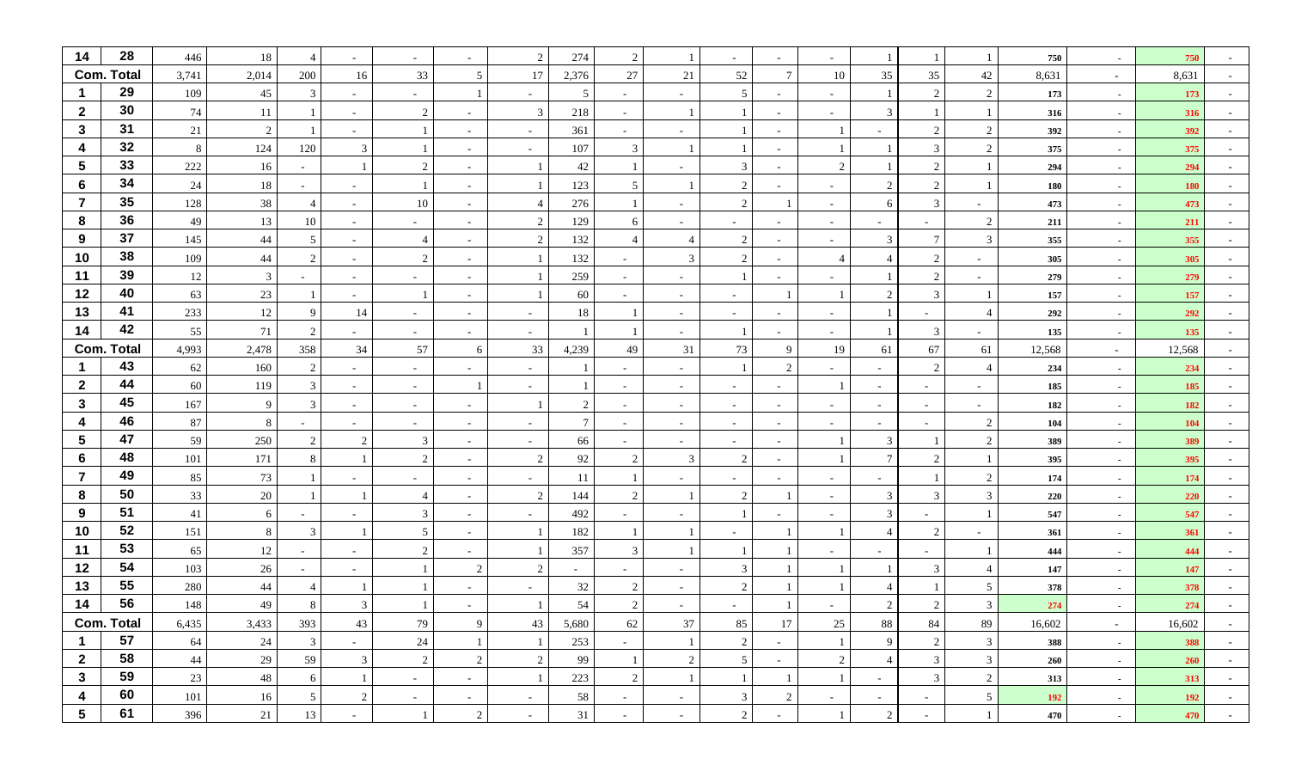| 14                      | 28                      | 446         | 18       |                    |                          | $\sim$         |                          | 2              | 274            | 2                        |                          |                                   |                | $\overline{\phantom{a}}$ |                |                                  | -1                       | 750        | $\sim$                   | 750        |                  |
|-------------------------|-------------------------|-------------|----------|--------------------|--------------------------|----------------|--------------------------|----------------|----------------|--------------------------|--------------------------|-----------------------------------|----------------|--------------------------|----------------|----------------------------------|--------------------------|------------|--------------------------|------------|------------------|
|                         | <b>Com. Total</b>       | 3,741       | 2,014    | 200                | 16                       | 33             | 5                        | 17             | 2,376          | 27                       | 21                       | 52                                | -7             | 10                       | 35             | 35                               | 42                       | 8,631      | $\sim$                   | 8,631      |                  |
|                         | 29                      | 109         | 45       | 3                  | $\sim$                   | $\overline{a}$ |                          |                | 5              | ۰                        |                          | 5                                 |                | $\overline{\phantom{a}}$ | -1             | $\overline{2}$                   | 2                        | 173        | $\sim$                   | 173        |                  |
| $\mathbf{2}$            | 30                      | 74          | 11       |                    | $\overline{\phantom{a}}$ | 2              |                          | 3              | 218            |                          |                          |                                   |                | $\sim$                   | 3              |                                  | $\mathbf{1}$             | 316        | $\sim$                   | 316        |                  |
| $\mathbf{3}$            | 31                      | 21          | 2        |                    |                          |                |                          |                | 361            |                          |                          |                                   |                |                          |                | $\mathcal{D}$                    | 2                        | 392        | $\sim$                   | 392        |                  |
| 4                       | 32                      | - 8         | 124      | 120                | 3                        |                |                          |                | 107            | 3                        |                          |                                   |                |                          |                | 3                                | $\overline{2}$           | 375        | $\sim$                   | 375        |                  |
| $\overline{\mathbf{5}}$ | 33                      | 222         | 16       | $\sim$             |                          | 2              |                          |                | 42             | 1                        |                          | 3                                 |                | 2                        | $\mathbf{1}$   | $\mathfrak{D}$                   |                          | 294        | $\sim$                   | 294        |                  |
| 6                       | 34                      | 24          | 18       | $\sim$             |                          |                | $\overline{\phantom{a}}$ |                | 123            | 5                        |                          | $\overline{2}$                    |                | $\overline{\phantom{a}}$ | 2              | $\overline{2}$                   |                          | 180        | $\sim$                   | 180        |                  |
| $\overline{7}$          | 35                      | 128         | 38       |                    | $\sim$                   | 10             |                          |                | 276            | $\overline{1}$           |                          | 2                                 |                | $\overline{\phantom{a}}$ | 6              | 3                                | $\overline{\phantom{a}}$ | 473        | $\sim$                   | 473        |                  |
| 8                       | 36                      | 49          | 13       | 10                 | $\overline{\phantom{a}}$ | $\sim$         |                          | 2              | 129            | 6                        |                          | $\sim$                            |                | $\sim$                   |                |                                  | 2                        | 211        | $\sim$                   | 211        |                  |
| 9                       | 37                      | 145         | 44       | 5                  | $\sim$                   | 4              | $\sim$                   | 2              | 132            | $\overline{4}$           |                          | 2                                 |                | $\sim$                   | 3              | 7                                | 3                        | 355        | $\sim$                   | 355        |                  |
| 10                      | 38                      | 109         | 44       | 2                  | $\overline{\phantom{a}}$ | 2              |                          |                | 132            |                          | 3                        | 2                                 |                | $\overline{4}$           | 4              | $\overline{2}$                   |                          | 305        | $\sim$                   | 305        |                  |
| 11                      | 39                      | 12          | 3        | $\sim$             | $\overline{\phantom{a}}$ | $\sim$         | $\overline{\phantom{a}}$ |                | 259            |                          |                          |                                   |                | -                        |                | $\overline{2}$                   | $\sim$                   | 279        | $\sim$                   | 279        |                  |
| 12                      | 40                      | 63          | $23\,$   |                    | $\overline{\phantom{a}}$ |                |                          |                | 60             |                          |                          | $\sim$                            |                |                          | $\overline{2}$ | 3                                | -1                       | 157        | $\sim$                   | 157        |                  |
| 13                      | 41                      | 233         | $12\,$   | 9                  | 14                       | $\sim$         | $\overline{\phantom{a}}$ |                | 18             |                          |                          | $\sim$                            |                | $\sim$                   |                | $\overline{\phantom{0}}$         | $\overline{4}$           | 292        | $\sim$                   | 292        |                  |
| 14                      | 42                      | 55          | 71       | 2                  |                          | $\sim$         | $\sim$                   |                |                |                          |                          |                                   |                | $\sim$                   |                | 3                                | $\overline{\phantom{a}}$ | 135        | $\sim$                   | 135        |                  |
|                         | <b>Com. Total</b>       | 4,993       | 2,478    | 358                | 34                       | 57             | 6                        | 33             | 4,239          | 49                       | 31                       | 73                                | -C             | 19                       | 61             | 67                               | 61                       | 12,568     | $\sim$                   | 12,568     |                  |
|                         | 43                      | 62          | 160      | $\overline{2}$     | $\overline{\phantom{a}}$ | $\sim$         |                          |                |                |                          |                          |                                   |                | $\overline{\phantom{a}}$ |                | $\overline{2}$                   | $\overline{4}$           | 234        | $\sim$                   | 234        |                  |
| $\mathbf{2}$            | 44                      | 60          | 119      | 3                  | $\sim$                   | $\sim$         |                          |                |                | $\overline{\phantom{a}}$ | $\overline{\phantom{a}}$ | $\sim$                            |                | $\overline{1}$           | $\sim$         | $\sim$                           | $\sim$                   | 185        | $\sim$                   | 185        |                  |
| $\mathbf{3}$            | 45                      | 167         | 9        | 3                  | $\overline{\phantom{a}}$ | $\sim$         |                          |                | $\overline{2}$ |                          |                          | $\sim$                            |                | $\overline{\phantom{a}}$ | $\sim$         | $\sim$                           | $\sim$                   | 182        | $\sim$                   | 182        |                  |
| 4                       | 46                      | 87          | 8        |                    | $\overline{\phantom{a}}$ | $\sim$         |                          |                | $\overline{7}$ |                          |                          | $\sim$                            |                | $\overline{\phantom{a}}$ | $\sim$         | $\sim$                           | 2                        | 104        | $\sim$                   | 104        |                  |
| $5\phantom{.0}$         | 47                      | 59          | 250      | 2                  | $\mathcal{D}$            | 3              |                          |                | 66             |                          |                          | $\sim$                            |                | $\overline{1}$           | $\mathfrak{Z}$ |                                  | 2                        | 389        | $\sim$                   | 389        |                  |
| 6                       | 48                      | 101         | 171      | 8                  |                          | 2              |                          |                | 92             | 2                        | 3                        | 2                                 |                |                          | 7              |                                  |                          | 395        | $\sim$                   | 395        |                  |
| $\overline{7}$          | 49                      | 85          | 73       |                    | $\overline{\phantom{a}}$ | $\overline{a}$ | $\overline{\phantom{a}}$ |                | -11            |                          |                          | $\sim$                            |                | $\overline{\phantom{a}}$ | $\sim$         |                                  | $\overline{2}$           | 174        | $\sim$                   | 174        |                  |
| 8                       | 50                      | 33          | $20\,$   |                    |                          | $\overline{4}$ |                          | $\mathfrak{D}$ | 144            | 2                        |                          | $\mathcal{D}_{\mathcal{L}}$       |                | $\sim$                   | 3              | $\mathcal{R}$                    | $\mathbf{3}$             | 220        | $\sim$                   | 220        |                  |
| $\boldsymbol{9}$        | 51<br>52                | 41          | 6        |                    |                          | 3              |                          |                | 492            |                          |                          |                                   |                | $\overline{\phantom{a}}$ | 3              |                                  | $\overline{1}$           | 547        | $\sim$                   | 547        |                  |
| 10                      | 53                      | 151         | 8        | 3                  |                          | 5              |                          |                | 182            |                          |                          | $\sim$                            |                |                          | $\overline{4}$ | $\overline{c}$                   | $\sim$                   | 361        | $\sim$                   | 361        |                  |
| 11                      | 54                      | 65          | 12       | $\overline{a}$     | $\overline{\phantom{a}}$ | $\overline{2}$ | $\overline{\phantom{a}}$ |                | 357            | 3                        |                          |                                   |                | $\overline{\phantom{a}}$ |                |                                  |                          | 444        | $\overline{\phantom{a}}$ | 444        |                  |
| 12                      | 55                      | 103         | 26       |                    |                          |                | 2                        | $\mathcal{D}$  |                |                          |                          | 3                                 |                |                          |                | $\mathcal{R}$                    | $\overline{4}$           | 147        | $\sim$                   | 147        |                  |
| 13                      | 56                      | 280         | 44       |                    |                          |                |                          |                | 32             | 2<br>$\mathcal{D}$       |                          | $\mathcal{D}$                     |                |                          | 4              |                                  | 5                        | 378        | $\sim$                   | 378        |                  |
| 14                      |                         | 148         | 49       |                    |                          |                |                          |                | 54             |                          |                          |                                   |                |                          |                |                                  | 3                        | 274        |                          | 274        |                  |
| $\mathbf 1$             | <b>Com. Total</b><br>57 | 6,435<br>64 | 3,433    | 393                | 43                       | 79<br>24       | 9<br>1                   | 43             | 5,680<br>253   | 62                       | 37                       | 85                                | 17             | 25<br>$\mathbf{1}$       | 88<br>9        | 84                               | 89<br>$\mathfrak{Z}$     | 16,602     | $\sim$                   | 16,602     | $\sim$           |
| $\mathbf{2}$            | 58                      | 44          | 24<br>29 | $\mathbf{3}$<br>59 | $\sim$<br>3              | 2              | $\overline{2}$           | $\overline{2}$ | 99             | $\sim$<br>$\mathbf{1}$   | 2                        | $\overline{2}$<br>$5\overline{)}$ | $\sim$         | $\overline{2}$           | $\overline{4}$ | $\overline{2}$<br>$\mathfrak{Z}$ | $\mathfrak{Z}$           | 388        | $\sim$                   | 388<br>260 | $\sim$           |
| $\mathbf{3}$            | 59                      | 23          | $48\,$   | 6                  |                          | $\sim$         |                          |                | 223            | $\sqrt{2}$               |                          | -1                                | $\sim$         | $\mathbf{1}$             | $\sim$         | $\mathfrak{Z}$                   | $\overline{2}$           | 260<br>313 | $\sim$                   | 313        | $\sim$<br>$\sim$ |
| 4                       | 60                      | 101         | 16       | 5 <sup>5</sup>     | $\overline{2}$           |                | $\sim$                   |                | 58             |                          |                          | $\mathfrak{Z}$                    | $\overline{c}$ |                          |                |                                  | 5 <sup>5</sup>           | 192        | $\sim$                   | 192        |                  |
| $5\phantom{.0}$         | 61                      | 396         |          |                    |                          | $\sim$         | $\sim$                   | $\sim$         | 31             | $\sim$                   | $\sim$                   |                                   |                | $\sim$<br>$\mathbf{1}$   | $\sim$         | $\sim$                           | 1                        |            | $\sim$                   |            | $\sim$ $-$       |
|                         |                         |             | 21       | 13                 | $\sim$                   |                | $\overline{2}$           | $\sim$         |                | $\sim$                   | $\sim$                   | $\overline{2}$                    | $\sim$         |                          | $\overline{2}$ | $\sim$                           |                          | 470        | $\sim$                   | 470        | $\sim 10^{-10}$  |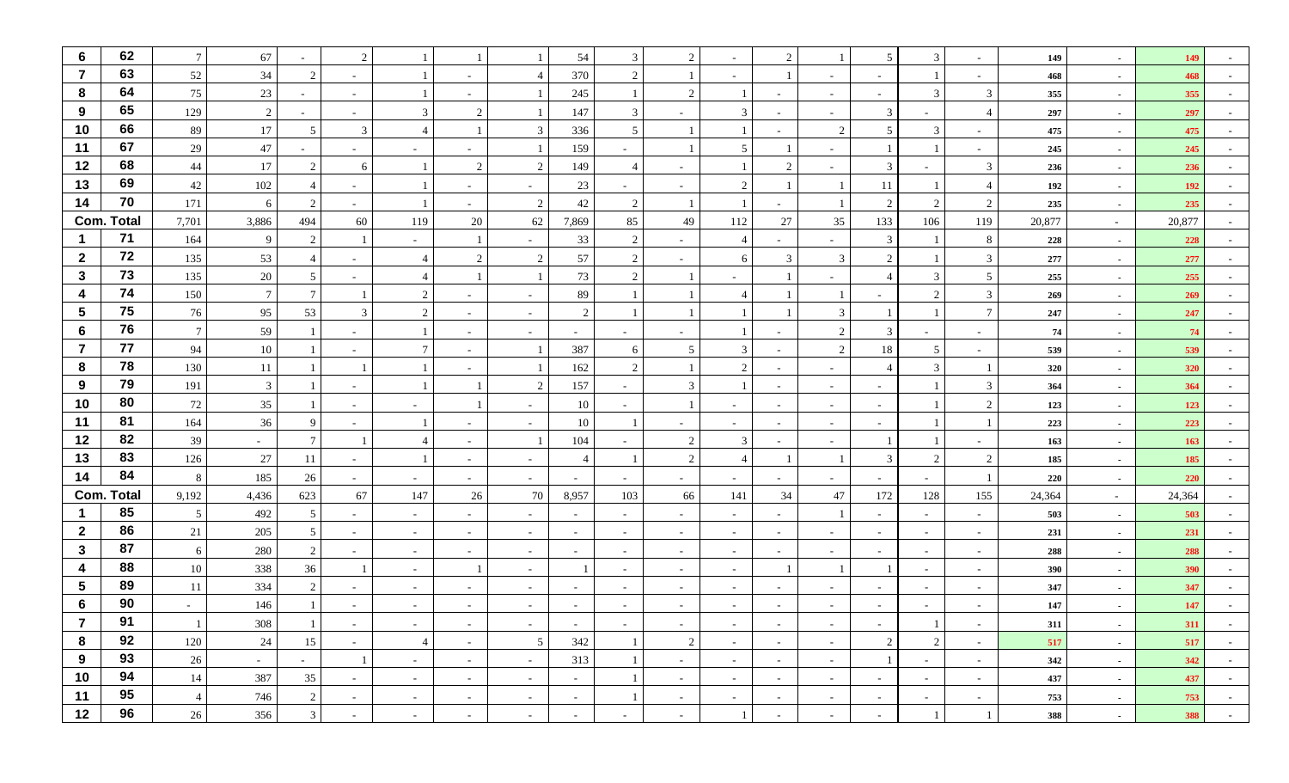| $6\phantom{1}$          | 62                | $7\phantom{.0}$ | 67              |                 | $\mathcal{D}$            |                          |                          |                          | 54                       | 3                        | $\overline{2}$ |                |               |                          | 5 <sup>5</sup>           | 3                        |                          | 149    | $\sim$ | 149        |            |
|-------------------------|-------------------|-----------------|-----------------|-----------------|--------------------------|--------------------------|--------------------------|--------------------------|--------------------------|--------------------------|----------------|----------------|---------------|--------------------------|--------------------------|--------------------------|--------------------------|--------|--------|------------|------------|
| $\overline{7}$          | 63                | 52              | 34              | 2               | $\overline{\phantom{a}}$ |                          |                          |                          | 370                      | $\overline{2}$           |                |                |               | $\overline{\phantom{a}}$ |                          |                          | $\sim$                   | 468    | $\sim$ | 468        |            |
| 8                       | 64                | 75              | 23              |                 | $\sim$                   |                          |                          |                          | 245                      | -1                       | $\overline{c}$ |                |               | $\sim$                   | $\sim$                   | 3                        | 3                        | 355    | $\sim$ | 355        |            |
| 9                       | 65                | 129             | 2               |                 |                          | 3                        | 2                        |                          | 147                      | $\overline{3}$           |                | 3              |               | $\sim$                   | 3                        |                          | $\overline{4}$           | 297    | $\sim$ | 297        |            |
| 10                      | 66                | 89              | 17              | 5               | 3                        | $\overline{\mathcal{A}}$ |                          | 3                        | 336                      | 5                        |                |                |               | 2                        | 5 <sup>5</sup>           | 3                        | $\sim$                   | 475    | $\sim$ | 475        |            |
| 11                      | 67                | 29              | $47\,$          |                 | $\overline{\phantom{a}}$ | $\sim$                   | $\overline{\phantom{a}}$ |                          | 159                      | $\sim$                   |                | 5              |               | $\overline{\phantom{a}}$ | $\mathbf{1}$             |                          | $\sim$                   | 245    | $\sim$ | 245        |            |
| 12                      | 68                | 44              | 17              | 2               | 6                        |                          | 2                        | 2                        | 149                      | $\overline{4}$           |                |                | $\mathcal{L}$ | $\sim$                   | 3                        |                          | 3                        | 236    | $\sim$ | 236        |            |
| 13                      | 69                | 42              | 102             |                 | $\sim$                   |                          | $\overline{\phantom{a}}$ |                          | 23                       | $\sim$                   |                | 2              |               |                          | 11                       |                          | $\overline{4}$           | 192    | $\sim$ | 192        |            |
| 14                      | 70                | 171             | 6               | 2               | $\overline{\phantom{a}}$ |                          | $\sim$                   | 2                        | 42                       | 2                        |                |                |               | $\overline{1}$           | $\overline{2}$           | $\mathfrak{D}$           | 2                        | 235    | $\sim$ | 235        |            |
|                         | <b>Com. Total</b> | 7,701           | 3,886           | 494             | 60                       | 119                      | 20                       | 62                       | 7,869                    | 85                       | 49             | 112            | 27            | 35                       | 133                      | 106                      | 119                      | 20,877 | $\sim$ | 20,877     |            |
|                         | $71$              | 164             | 9               | 2               |                          | $\sim$                   | $\overline{1}$           | $\sim$                   | 33                       | $\overline{2}$           |                | $\overline{4}$ |               | $\overline{\phantom{a}}$ | $\mathfrak{Z}$           |                          | 8                        | 228    | $\sim$ | 228        |            |
| $\mathbf{2}$            | 72                | 135             | 53              |                 |                          |                          | 2                        | 2                        | 57                       | 2                        |                | 6              | 3             | 3                        | $\overline{2}$           |                          | 3                        | 277    | $\sim$ | 277        |            |
| $\mathbf{3}$            | 73                | 135             | 20              | 5               |                          |                          |                          |                          | 73                       | 2                        |                |                |               |                          | $\overline{4}$           | 3                        | 5                        | 255    | $\sim$ | 255        |            |
| $\overline{\mathbf{4}}$ | 74                | 150             | $7\phantom{.0}$ | $\tau$          |                          | 2                        |                          |                          | 89                       |                          |                |                |               |                          |                          | $\mathcal{D}$            | 3                        | 269    | $\sim$ | 269        |            |
| $\sqrt{5}$              | 75                | 76              | 95              | 53              | 3                        | 2                        |                          | $\overline{\phantom{a}}$ | $\overline{2}$           |                          |                |                |               | 3                        |                          |                          | $\overline{7}$           | 247    | $\sim$ | 247        |            |
| 6                       | 76                | $\overline{7}$  | 59              |                 |                          |                          | $\overline{\phantom{a}}$ | $\overline{\phantom{a}}$ | $\sim$                   | $\overline{\phantom{a}}$ |                |                |               | 2                        | 3                        |                          | $\sim$                   | 74     | $\sim$ | 74         |            |
| $\overline{7}$          | 77                | 94              | 10              |                 | $\overline{\phantom{a}}$ | $\tau$                   |                          |                          | 387                      | 6                        | 5              | $\mathfrak{Z}$ |               | 2                        | 18                       | 5                        | $\overline{\phantom{a}}$ | 539    | $\sim$ | 539        |            |
| 8                       | 78                | 130             | $11\,$          |                 |                          |                          |                          |                          | 162                      | 2                        |                | 2              |               | $\overline{\phantom{a}}$ | $\overline{4}$           | 3                        |                          | 320    | $\sim$ | 320        |            |
| 9                       | 79                | 191             | $\mathbf{3}$    |                 | $\overline{\phantom{a}}$ |                          |                          | $\overline{2}$           | 157                      | $\sim$                   | 3              |                |               | $\overline{\phantom{a}}$ | $\sim$                   |                          | 3                        | 364    | $\sim$ | 364        |            |
| 10                      | 80                | 72              | 35              |                 | $\overline{\phantom{a}}$ | $\overline{\phantom{0}}$ |                          |                          | 10                       |                          |                | $\sim$         |               | $\overline{\phantom{a}}$ | $\overline{\phantom{a}}$ |                          | 2                        | 123    | $\sim$ | 123        |            |
| 11                      | 81                | 164             | 36              | 9               |                          |                          |                          |                          | 10                       |                          |                | $\sim$         |               | $\overline{\phantom{a}}$ |                          |                          |                          | 223    | $\sim$ | 223        |            |
| 12                      | 82                | 39              | $\sim$          | $7\overline{ }$ |                          | $\overline{\mathcal{A}}$ |                          |                          | 104                      |                          | 2              | $\mathfrak{Z}$ |               | $\sim$                   | $\mathbf{1}$             |                          | $\sim$                   | 163    | $\sim$ | 163        |            |
| 13                      | 83                | 126             | $27\,$          | 11              | $\overline{\phantom{a}}$ |                          | $\overline{\phantom{a}}$ |                          | $\overline{4}$           |                          | $\overline{c}$ |                |               |                          | 3                        | $\mathcal{D}$            | $\overline{2}$           | 185    | $\sim$ | 185        |            |
| 14                      | 84                | - 8             | 185             | 26              | $\sim$                   | $\sim$                   | $\sim$                   | $\sim$                   | $\sim$                   | $\sim$                   | $\sim$         | $\sim$         |               | $\overline{\phantom{a}}$ | $\sim$                   | $\sim$                   |                          | 220    | $\sim$ | 220        |            |
|                         | <b>Com. Total</b> | 9,192           | 4,436           | 623             | 67                       | 147                      | 26                       | 70                       | 8,957                    | 103                      | 66             | 141            | 34            | 47                       | 172                      | 128                      | 155                      | 24,364 | $\sim$ | 24,364     |            |
| $\mathbf 1$             | 85                | 5               | 492             | 5               | $\overline{\phantom{a}}$ | $\sim$                   | $\overline{\phantom{a}}$ |                          | $\overline{\phantom{0}}$ |                          |                | $\sim$         |               |                          |                          | $\overline{\phantom{0}}$ | $\overline{\phantom{a}}$ | 503    | $\sim$ | 503        |            |
| $\mathbf{2}$            | 86                | 21              | 205             | 5               | $\sim$                   | $\sim$                   | $\sim$                   | $\sim$                   | $\sim$                   | $\overline{\phantom{a}}$ |                | $\sim$         |               | $\overline{\phantom{a}}$ | $\sim$                   | $\sim$                   | $\overline{\phantom{a}}$ | 231    | $\sim$ | 231        |            |
| $\mathbf{3}$            | 87                | 6               | 280             | 2               | $\overline{\phantom{a}}$ | $\sim$                   | $\sim$                   | $\overline{\phantom{a}}$ | $\overline{\phantom{a}}$ | $\overline{\phantom{a}}$ |                | $\sim$         |               | $\overline{\phantom{a}}$ |                          | $\sim$                   | $\overline{\phantom{a}}$ | 288    | $\sim$ | 288        |            |
| $\boldsymbol{4}$        | 88                | 10              | 338             | 36              |                          | $\sim$                   |                          | $\overline{\phantom{a}}$ |                          | $\overline{\phantom{a}}$ |                | $\sim$         |               |                          |                          | $\sim$                   | $\sim$                   | 390    | $\sim$ | 390        |            |
| $5\phantom{.0}$         | 89                | 11              | 334             | 2               |                          | $\sim$                   |                          |                          |                          |                          |                | $\sim$         |               |                          |                          | $\overline{\phantom{0}}$ |                          | 347    | $\sim$ | 347        |            |
| 6                       | 90                |                 | 146             |                 |                          |                          |                          |                          |                          |                          |                |                |               |                          |                          |                          |                          | 147    |        | 147        |            |
| $\epsilon$              | 91                | $\mathbf{1}$    | 308             |                 | $\sim$                   | $\sim$ $-$               | $\sim$                   | $\sim$                   | $\sim$                   | $\sim$                   | $\sim$         | $\sim$         | $\sim$        | $\sim$                   | $\sim$                   | $\perp$                  | $\sim$                   | 311    | $\sim$ | <b>311</b> | $\sim$     |
| 8                       | 92                | 120             | 24              | 15              | $\sim$                   | $\overline{4}$           | $\sim$                   | 5                        | 342                      | -1                       | 2              | $\sim$         | $\sim$        | $\sim$                   | $\overline{2}$           | $\overline{2}$           | $\sim$                   | 517    | $\sim$ | 517        | $\sim$     |
| 9                       | 93                | 26              | $\sim$          | $\sim$          |                          | $\sim$                   | $\sim$                   | $\sim$                   | 313                      |                          | $\sim$         | $\sim$         | $\sim$        | $\sim$                   | $\overline{1}$           | $\sim$                   | $\sim$                   | 342    | $\sim$ | 342        | $\sim$     |
| 10                      | 94                | 14              | 387             | 35              | $\sim$                   | $\sim$                   | $\sim$                   | $\sim$                   | $\sim$                   | -1                       | $\sim$         | $\sim$         | $\sim$        | $\sim$                   | $\sim$                   | $\sim$                   | $\sim$                   | 437    | $\sim$ | 437        | $\sim$     |
| 11                      | 95                | $\overline{4}$  | 746             | 2               | $\sim$                   | $\sim$                   | $\sim$                   | $\sim$                   | $\sim$                   | $\Box$                   | $\sim$         | $\sim$         | $\sim$        | $\sim$                   | $\sim$                   | $\sim$                   | $\sim$                   | 753    | $\sim$ | 753        | $\sim$     |
| 12                      | 96                | 26              | 356             | 3 <sup>1</sup>  | $\sim$                   | $\sim$                   | $\sim$                   | $\sim$                   | $\sim$                   | $\sim$                   | $\sim$         |                | $\sim$        | $\sim$                   | $\sim$                   |                          |                          | 388    | $\sim$ | 388        | $\sim$ $-$ |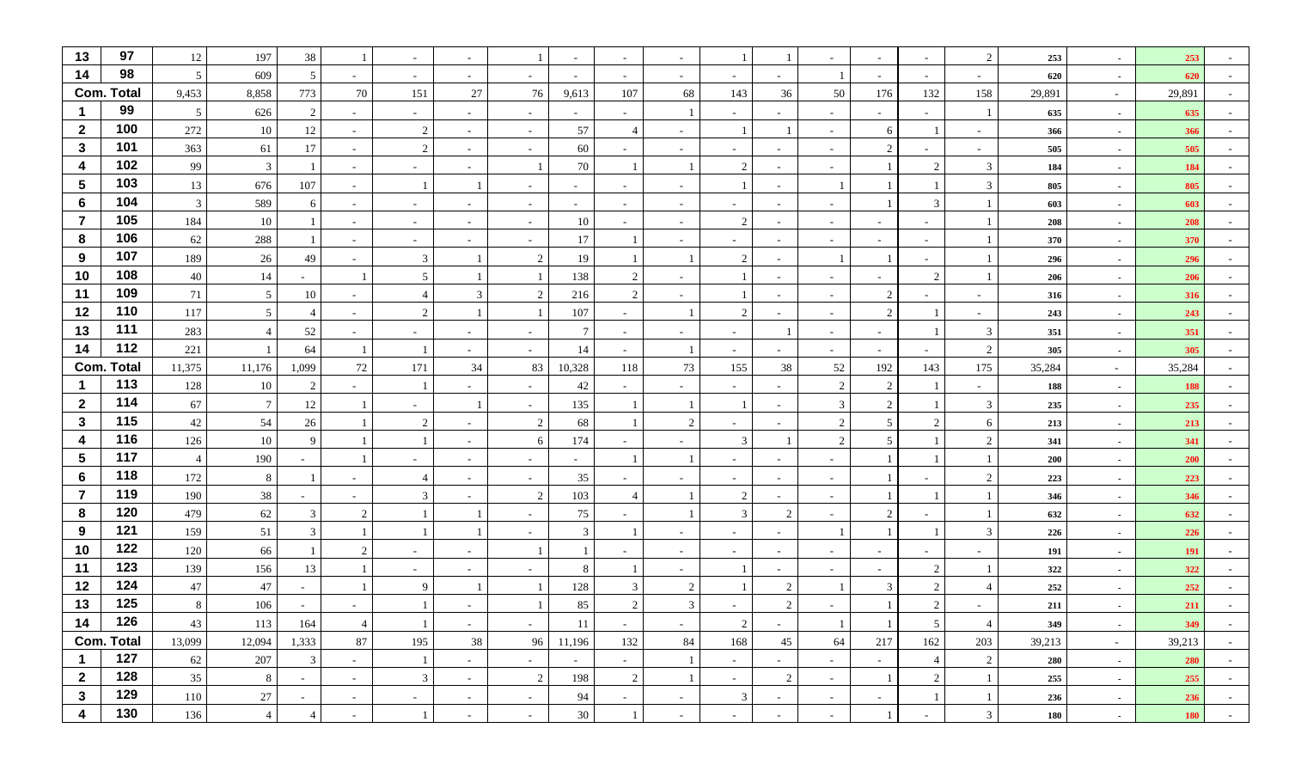| 13                   | 97                       | 12             | 197            | 38                       |                          | $\sim$       | $\sim$                      | -1                                         | $\sim$         | $\sim$                   |                          |                             |                          |                |                 | $\sim$                   | $\overline{2}$           | 253        | $\sim$           | 253        |            |
|----------------------|--------------------------|----------------|----------------|--------------------------|--------------------------|--------------|-----------------------------|--------------------------------------------|----------------|--------------------------|--------------------------|-----------------------------|--------------------------|----------------|-----------------|--------------------------|--------------------------|------------|------------------|------------|------------|
| 14                   | 98                       | 5              | 609            | 5                        | $\overline{\phantom{a}}$ | $\sim$       | $\sim$                      | $\sim$                                     | $\sim$         | $\sim$                   | $\sim$                   | $\sim$                      | $\sim$                   |                | $\sim$          | $\sim$                   | $\sim$                   | 620        | $\sim$           | 620        |            |
|                      | <b>Com. Total</b>        | 9,453          | 8,858          | 773                      | 70                       | 151          | 27                          | 76                                         | 9,613          | 107                      | 68                       | 143                         | 36                       | 50             | 176             | 132                      | 158                      | 29,891     | $\sim$           | 29,891     |            |
| -1                   | 99                       | 5              | 626            | $\mathcal{D}$            | $\overline{\phantom{a}}$ | $\sim$       | $\overline{\phantom{a}}$    | $\overline{\phantom{a}}$                   | $\sim$         |                          |                          |                             |                          | $\sim$         |                 | $\sim$                   |                          | 635        | $\sim$           | 635        |            |
| $\overline{2}$       | 100                      | 272            | 10             | 12                       | $\overline{\phantom{a}}$ | 2            | $\sim$                      | $\blacksquare$                             | 57             | $\overline{4}$           |                          |                             |                          | $\sim$         | 6               |                          |                          | 366        | $\sim$           | 366        |            |
| $\mathbf{3}$         | 101                      | 363            | 61             | 17                       | $\sim$                   | 2            | $\sim$                      | $\sim$                                     | 60             | $\sim$                   | $\sim$                   | $\sim$                      | $\sim$                   | $\sim$         | 2               | $\sim$                   | $\sim$                   | 505        | $\sim$           | 505        |            |
| 4                    | 102                      | 99             | $\mathbf{3}$   |                          | $\sim$                   | $\sim$       | $\sim$                      |                                            | 70             |                          | -1                       | 2                           | $\sim$                   | $\sim$         |                 | 2                        | 3                        | 184        | $\sim$           | 184        |            |
| $\sqrt{5}$           | 103                      | 13             | 676            | 107                      | $\sim$                   |              |                             | $\overline{\phantom{a}}$                   | $\sim$         | $\overline{\phantom{a}}$ | $\overline{\phantom{a}}$ |                             |                          |                |                 |                          | 3                        | 805        | $\sim$           | 805        |            |
| $6\phantom{1}6$      | 104                      | $\overline{3}$ | 589            | 6                        | $\sim$                   | $\sim$       | $\overline{\phantom{a}}$    | $\sim$                                     | $\sim$         | $\sim$                   | $\overline{\phantom{a}}$ | $\sim$                      | $\overline{\phantom{a}}$ | $\sim$         |                 | 3                        |                          | 603        | $\sim$           | 603        |            |
| $\overline{7}$       | 105                      | 184            | 10             |                          | $\overline{\phantom{a}}$ | $\sim$       | $\overline{\phantom{a}}$    | $\sim$                                     | 10             | $\overline{\phantom{a}}$ | $\overline{\phantom{a}}$ | 2                           |                          | $\sim$         |                 | $\sim$                   |                          | 208        | $\sim$           | 208        |            |
| 8                    | 106                      | 62             | 288            |                          | $\sim$                   | $\sim$       | $\sim$                      | $\sim$                                     | 17             | $\overline{1}$           | $\sim$                   | $\sim$                      | $\sim$                   | $\sim$         | $\sim$          | $\sim$                   |                          | 370        | $\sim$           | 370        |            |
| 9                    | 107                      | 189            | 26             | 49                       | $\overline{\phantom{a}}$ | 3            |                             | 2                                          | 19             |                          |                          | $\mathcal{D}_{\mathcal{L}}$ |                          |                |                 | $\sim$                   |                          | 296        | $\sim$           | 296        |            |
| 10                   | 108                      | 40             | 14             | $\sim$                   |                          | 5            |                             | $\overline{1}$                             | 138            | $\overline{2}$           | ٠                        |                             | $\sim$                   | $\sim$         |                 | 2                        |                          | 206        | $\sim$           | 206        |            |
| 11                   | 109                      | 71             | $\mathfrak{S}$ | 10                       | $\overline{\phantom{a}}$ |              | 3                           | 2                                          | 216            | 2                        | $\overline{\phantom{a}}$ |                             |                          | $\sim$         | $\overline{2}$  | $\sim$                   |                          | 316        | $\sim$           | 316        |            |
| 12                   | 110                      | 117            | $\overline{5}$ |                          | $\sim$                   | 2            |                             | $\overline{1}$                             | 107            | $\sim$                   |                          | 2                           | $\overline{\phantom{a}}$ | $\sim$         | 2               |                          |                          | 243        | $\sim$           | 243        |            |
| 13                   | 111                      | 283            | $\overline{4}$ | 52                       | $\overline{\phantom{a}}$ | $\sim$       | $\sim$                      | $\overline{\phantom{a}}$                   | $\tau$         | $\sim$                   | $\overline{\phantom{a}}$ | $\sim$                      |                          | $\sim$         |                 |                          | 3                        | 351        | $\sim$           | 351        |            |
| 14                   | 112                      | 221            | $\overline{1}$ | 64                       |                          |              | $\sim$                      | $\sim$                                     | 14             | $\sim$                   | $\overline{1}$           | $\sim$                      |                          | $\sim$         | $\sim$          | $\sim$                   | $\overline{2}$           | 305        | $\sim$           | 305        |            |
| -1                   | <b>Com. Total</b><br>113 | 11,375         | 11,176         | 1,099                    | $72\,$                   | 171          | 34                          | 83                                         | 10,328         | 118                      | 73                       | 155                         | 38                       | 52             | 192             | 143                      | 175                      | 35,284     | $\sim$           | 35,284     |            |
| $\overline{2}$       | 114                      | 128<br>67      | 10<br>$\tau$   | $\overline{2}$           | $\sim$                   |              | $\sim$                      | $\sim$                                     | 42<br>135      | $\sim$<br>$\overline{1}$ | $\sim$<br>$\mathbf{1}$   | $\sim$                      |                          | 2<br>3         | 2<br>2          |                          | $\sim$<br>$\overline{3}$ | 188        | $\sim$           | 188        |            |
| $\mathbf{3}$         | 115                      | 42             | 54             | 12<br>26                 |                          | $\sim$<br>2  |                             | $\overline{\phantom{a}}$<br>$\overline{2}$ | 68             | $\overline{1}$           | $\overline{2}$           | $\sim$                      |                          | $\overline{2}$ | 5               | $\mathcal{D}$            | 6                        | 235<br>213 | $\sim$           | 235<br>213 |            |
| 4                    | 116                      | 126            | $10\,$         | 9                        |                          |              | $\qquad \qquad -$<br>$\sim$ | 6                                          | 174            | $\sim$                   | $\blacksquare$           | $\mathbf{3}$                |                          | $\overline{2}$ | $5\overline{)}$ |                          | $\overline{2}$           | 341        | $\sim$<br>$\sim$ | 341        |            |
| $5\phantom{1}$       | 117                      | $\overline{4}$ | 190            | $\overline{\phantom{a}}$ |                          | $\sim$       | $\sim$                      | $\sim$                                     | $\sim$         | -1                       | $\overline{1}$           | $\sim$                      | $\sim$                   | $\sim$         |                 |                          |                          | 200        | $\sim$           | <b>200</b> |            |
| 6                    | 118                      | 172            | 8              |                          | $\overline{\phantom{a}}$ |              | $\sim$                      | $\sim$                                     | 35             | $\sim$                   | $\overline{\phantom{a}}$ | $\sim$                      | $\sim$                   | $\sim$         |                 | $\overline{\phantom{a}}$ | $\overline{2}$           | 223        | $\sim$           | 223        |            |
| $\overline{7}$       | 119                      | 190            | 38             |                          | $\overline{\phantom{a}}$ | 3            | $\overline{\phantom{a}}$    | 2                                          | 103            | $\overline{4}$           |                          | 2                           |                          | $\sim$         |                 |                          |                          | 346        | $\sim$           | 346        |            |
| 8                    | 120                      | 479            | $62\,$         | 3                        | $\overline{2}$           |              |                             | $\blacksquare$                             | 75             |                          |                          | 3                           | $\overline{2}$           | $\sim$         | $\overline{2}$  | $\sim$                   |                          | 632        | $\sim$           | 632        |            |
| 9                    | 121                      | 159            | 51             | 3                        |                          |              |                             | $\sim$                                     | $\mathfrak{Z}$ | -1                       | $\sim$                   | $\sim$                      |                          |                |                 |                          | $\overline{3}$           | 226        | $\sim$           | 226        |            |
| 10                   | 122                      | 120            | 66             |                          | $\overline{2}$           | $\sim$       | $\overline{\phantom{a}}$    |                                            |                |                          |                          | $\sim$                      |                          | $\sim$         |                 | $\sim$                   |                          | 191        | $\sim$           | <b>191</b> |            |
| 11                   | 123                      | 139            | 156            | 13                       |                          | $\sim$       | $\overline{\phantom{a}}$    | $\overline{\phantom{a}}$                   | 8              |                          | $\overline{\phantom{a}}$ |                             |                          | $\sim$         |                 | 2                        |                          | 322        | $\sim$           | 322        |            |
| 12                   | 124                      | $47\,$         | 47             | $\sim$                   |                          | 9            |                             |                                            | 128            | 3                        | 2                        |                             | $\overline{2}$           |                | 3               | 2                        | $\overline{4}$           | 252        | $\sim$           | 252        |            |
| 13                   | 125                      | 8              | 106            | $\overline{\phantom{a}}$ |                          |              |                             |                                            | 85             | $\overline{2}$           | $\mathfrak{Z}$           |                             | 2                        |                |                 | $\mathcal{D}$            |                          | 211        | $\sim$           | 211        |            |
|                      | $14 \quad 126$           | 43             | 113            | 164                      | $\overline{4}$           |              | $\sim$                      | $\sim$                                     | 11             | $\sim$                   | $\sim$                   | 2                           | $\sim$                   |                | $\perp$         | 5 <sup>5</sup>           | $\overline{4}$           | 349        | $\sim$           | 349        | $\sim$ $-$ |
|                      | <b>Com. Total</b>        | 13,099         | 12,094         | 1,333                    | 87                       | 195          | 38                          | 96                                         | 11,196         | 132                      | 84                       | 168                         | 45                       | 64             | 217             | 162                      | 203                      | 39,213     | $\sim$           | 39,213     | $\sim$     |
| $\blacktriangleleft$ | 127                      | $62\,$         | 207            | 3                        | $\sim$                   |              | $\sim$                      | $\sim$                                     | $\sim$         | $\sim$                   | $\mathbf{1}$             | $\sim$                      | $\sim$                   | $\sim$         | $\sim$          | $\overline{4}$           | $\overline{c}$           | 280        | $\sim$           | 280        | $\sim$     |
| $\mathbf{2}$         | 128                      | 35             | $\,8\,$        | $\sim$                   | $\sim$                   | $\mathbf{3}$ | $\sim$                      | $\overline{2}$                             | 198            | $\overline{2}$           | $\mathbf{1}$             | $\sim$ $-$                  | 2                        | $\sim$         |                 | $\overline{2}$           |                          | 255        | $\sim$           | 255        | $\sim$     |
| $\mathbf{3}$         | 129                      | 110            | $27\,$         | $\sim$                   | $\sim$                   | $\sim$       | $\sim$                      | $\sim$                                     | 94             | $\sim$                   | $\overline{\phantom{a}}$ | $\mathfrak{Z}$              | $\sim$                   | $\sim$         | $\sim$          |                          |                          | 236        | $\sim$           | 236        | $\sim$     |
| 4                    | 130                      | 136            | $\overline{4}$ |                          | $\sim$                   |              | $\sim$                      | $\sim$                                     | 30             | -1                       | $\overline{\phantom{a}}$ | $\sim$                      |                          | $\sim$         |                 | $\overline{\phantom{a}}$ | $\overline{3}$           | 180        | $\sim$           | <b>180</b> | $\sim$     |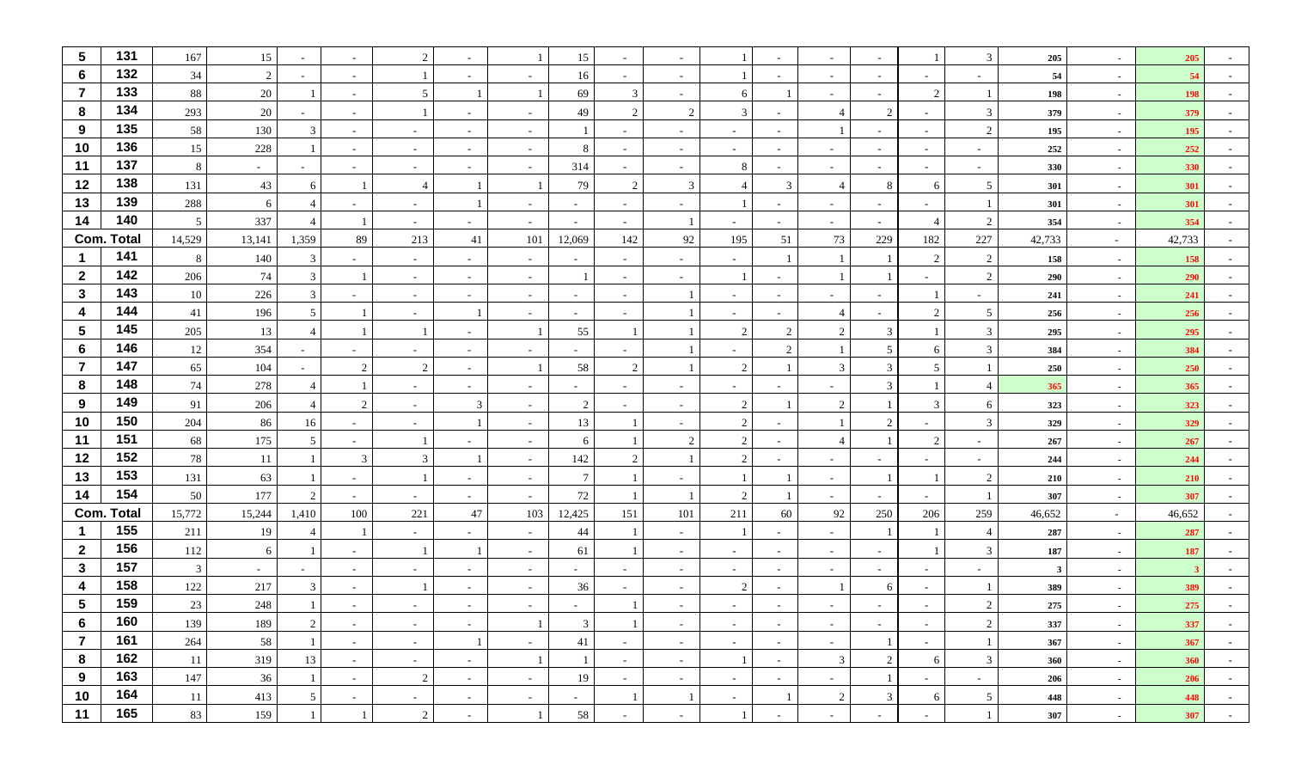| $\sqrt{5}$          | 131               | 167       | 15             |                          |                          | 2              |                          |                          | 15                       |                          |                          |             |                          | $\sim$                   |                               |                          | 3                        | 205          | $\sim$           | 205        |                          |
|---------------------|-------------------|-----------|----------------|--------------------------|--------------------------|----------------|--------------------------|--------------------------|--------------------------|--------------------------|--------------------------|-------------|--------------------------|--------------------------|-------------------------------|--------------------------|--------------------------|--------------|------------------|------------|--------------------------|
| 6                   | 132               | 34        | $\overline{2}$ | $\overline{\phantom{a}}$ | $\overline{\phantom{a}}$ |                |                          |                          | 16                       |                          |                          |             |                          | $\sim$                   |                               | $\sim$                   |                          | 54           | $\sim$           | 54         |                          |
| $\overline{7}$      | 133               | 88        | 20             |                          | $\sim$                   | -5             |                          |                          | 69                       | 3                        |                          | 6           |                          | $\overline{a}$           | $\overline{\phantom{a}}$      | 2                        |                          | 198          | $\sim$           | 198        |                          |
| 8                   | 134               | 293       | $20\,$         |                          | $\overline{\phantom{a}}$ |                |                          |                          | 49                       | 2                        | 2                        | 3           |                          | $\overline{4}$           | $\mathfrak{D}_{\mathfrak{p}}$ | $\sim$                   | 3                        | 379          | $\sim$           | 379        |                          |
| 9                   | 135               | 58        | 130            | $\mathbf{3}$             | $\overline{\phantom{a}}$ | $\sim$         |                          |                          |                          |                          |                          | $\sim$      |                          |                          |                               | $\sim$                   | $\overline{2}$           | 195          | $\sim$           | 195        |                          |
| 10                  | 136               | 15        | 228            |                          | $\sim$                   | $\sim$         | $\overline{\phantom{a}}$ | $\overline{\phantom{a}}$ | 8                        | $\overline{\phantom{a}}$ | $\overline{\phantom{a}}$ | $\sim$      |                          | $\sim$                   | $\sim$                        | $\sim$                   |                          | 252          | $\sim$           | 252        |                          |
| 11                  | 137               | 8         | $\sim$         | $\sim$                   | $\sim$                   | $\sim$         | $\sim$                   | $\overline{\phantom{a}}$ | 314                      | $\sim$                   | $\overline{\phantom{a}}$ | 8           |                          | $\sim$                   | $\sim$                        | $\sim$                   | $\overline{\phantom{0}}$ | 330          | $\sim$           | 330        |                          |
| 12                  | 138               | 131       | 43             | 6                        |                          | -4             |                          |                          | 79                       | 2                        | 3                        |             | 3                        | $\overline{4}$           | 8                             | 6                        | 5                        | 301          | $\sim$           | 301        |                          |
| 13                  | 139               | 288       | 6              | $\overline{4}$           |                          | $\sim$         |                          |                          | $\sim$                   |                          |                          |             |                          | $\overline{\phantom{a}}$ |                               | $\sim$                   |                          | 301          | $\sim$           | 301        |                          |
| 14                  | 140               | 5         | 337            |                          |                          | $\sim$         |                          |                          | $\sim$                   |                          |                          |             |                          | $\sim$                   |                               | $\overline{4}$           | 2                        | 354          | $\sim$           | 354        |                          |
|                     | <b>Com. Total</b> | 14,529    | 13,141         | 1,359                    | 89                       | 213            | 41                       | 101                      | 12,069                   | 142                      | 92                       | 195         | 51                       | 73                       | 229                           | 182                      | 227                      | 42,733       | $\sim$           | 42,733     |                          |
|                     | 141               | 8         | 140            | 3                        |                          | $\sim$         |                          |                          |                          |                          |                          | $\sim$      |                          |                          |                               | 2                        | 2                        | 158          | $\sim$           | 158        |                          |
| $\overline{2}$      | 142               | 206       | 74             | 3                        |                          | $\sim$         | $\overline{\phantom{a}}$ | $\overline{\phantom{a}}$ |                          | $\sim$                   | $\overline{\phantom{a}}$ |             |                          |                          |                               | $\sim$                   | 2                        | 290          | $\sim$           | 290        |                          |
| $\mathbf{3}$        | 143               | 10        | 226            | 3                        |                          | $\sim$         |                          |                          | $\sim$                   |                          |                          | $\sim$      |                          | $\sim$                   | $\sim$                        |                          |                          | 241          | $\sim$           | 241        |                          |
| $\overline{4}$      | 144               | 41        | 196            | 5 <sup>5</sup>           |                          | $\sim$         |                          |                          | $\sim$                   |                          |                          | $\sim$      |                          | $\overline{4}$           |                               | 2                        | 5                        | 256          | $\sim$           | 256        |                          |
| $5\phantom{.0}$     | 145               | 205       | 13             |                          |                          |                |                          |                          | 55                       |                          |                          | 2           | $\overline{2}$           | 2                        | 3                             |                          | 3                        | 295          | $\sim$           | 295        |                          |
| $6\phantom{1}$      | 146<br>147        | 12        | 354            |                          |                          | $\sim$         |                          |                          | $\sim$                   |                          |                          | $\sim$      | $\mathcal{D}$            |                          | 5                             | 6                        | 3                        | 384          | $\sim$           | 384        |                          |
| $\overline{7}$<br>8 | 148               | 65        | 104            |                          | $\gamma$                 | 2              |                          |                          | 58                       | 2                        |                          | 2           |                          | 3                        | 3                             | 5                        |                          | 250          | $\sim$           | 250        |                          |
| 9                   | 149               | 74        | 278<br>206     | $\overline{4}$           | $\gamma$                 | $\sim$         | $\sim$<br>3              | $\overline{\phantom{a}}$ | $\sim$<br>$\overline{c}$ | $\sim$                   | $\overline{\phantom{a}}$ | $\sim$<br>2 |                          | $\sim$<br>$\overline{2}$ | 3                             | $\mathcal{R}$            | $\overline{4}$           | 365          | $\sim$           | 365        |                          |
| 10                  | 150               | 91<br>204 | 86             | 16                       |                          | $\sim$         |                          |                          | 13                       |                          |                          | 2           |                          |                          | 2                             |                          | 6<br>3                   | 323<br>329   | $\sim$           | 323<br>329 |                          |
| 11                  | 151               | 68        | 175            | 5                        | $\overline{\phantom{a}}$ | $\sim$         |                          |                          | 6                        |                          | 2                        | 2           |                          | $\Delta$                 |                               | 2                        |                          | 267          | $\sim$<br>$\sim$ | 267        |                          |
| 12                  | 152               | $78\,$    | 11             |                          | 3                        | 3              |                          |                          | 142                      | $\mathfrak{2}$           |                          | 2           |                          | $\sim$                   |                               | $\sim$                   |                          | 244          | $\sim$           | 244        |                          |
| 13                  | 153               | 131       | 63             |                          | $\overline{\phantom{a}}$ |                | $\overline{\phantom{a}}$ |                          | $\overline{7}$           |                          |                          |             |                          | $\sim$                   |                               |                          | $\overline{2}$           | 210          | $\sim$           | 210        |                          |
| 14                  | 154               | 50        | 177            | $\mathcal{L}$            | $\overline{\phantom{a}}$ | $\sim$         |                          |                          | 72                       |                          |                          | 2           |                          | $\overline{\phantom{a}}$ |                               |                          |                          | 307          | $\sim$           | 307        |                          |
|                     | <b>Com. Total</b> | 15,772    | 15,244         | 1,410                    | 100                      | 221            | 47                       | 103                      | 12,425                   | 151                      | 101                      | 211         | 60                       | 92                       | 250                           | 206                      | 259                      | 46,652       | $\sim$           | 46,652     |                          |
| -1                  | 155               | 211       | 19             | $\overline{4}$           |                          | $\sim$         |                          |                          | 44                       |                          |                          |             |                          | $\sim$                   |                               |                          | $\overline{4}$           | 287          | $\sim$           | 287        |                          |
| $\overline{2}$      | 156               | 112       | 6              |                          | $\overline{\phantom{a}}$ |                |                          | $\overline{\phantom{a}}$ | 61                       |                          |                          | $\sim$      |                          | $\sim$                   |                               |                          | 3                        | 187          | $\sim$           | 187        |                          |
| $\mathbf{3}$        | 157               | 3         | $\sim$         |                          | $\overline{\phantom{a}}$ | $\sim$         |                          |                          | $\sim$                   |                          |                          | $\sim$      |                          | $\sim$                   | $\sim$                        | $\sim$                   |                          | $\mathbf{3}$ | $\sim$           |            |                          |
| $\boldsymbol{4}$    | 158               | 122       | 217            | $\mathbf{3}$             | $\overline{\phantom{a}}$ |                |                          |                          | 36                       |                          |                          | 2           |                          |                          | 6                             | $\overline{\phantom{0}}$ |                          | 389          | $\sim$           | 389        |                          |
| $\sqrt{5}$          | 159               | 23        | 248            |                          |                          |                |                          |                          |                          |                          |                          |             |                          |                          |                               |                          |                          | 275          | $\blacksquare$   | 275        |                          |
| 6                   | 160               | 139       | 189            | $\overline{2}$           | $\sim$                   | $\sim$         | $\sim$                   |                          | $\mathfrak{Z}$           | $\mathbf{1}$             | $\sim$                   | $\sim$      | $\sim$                   | $\sim$                   | $\sim$                        | $\sim$ $-$               | $\overline{2}$           | 337          | $\sim$           | 337        | $\overline{\phantom{0}}$ |
| $\overline{7}$      | 161               | 264       | 58             |                          | $\sim$                   | $\sim$         | -1                       | $\sim$                   | 41                       | $\sim$                   | $\sim$                   | $\sim$      | $\sim$                   | $\sim$                   | 1                             | $\sim$                   |                          | 367          | $\sim$           | 367        | $\sim$                   |
| 8                   | 162               | 11        | 319            | 13                       | $\sim$                   | $\sim$         | $\sim$                   |                          |                          | $\sim$                   | $\sim$                   |             | $\sim$                   | $\mathfrak{Z}$           | $\overline{c}$                | 6                        | 3                        | 360          | $\sim$           | 360        | $\sim$                   |
| 9                   | 163               | 147       | 36             | 1                        | $\sim$                   | 2              | $\sim$                   | $\sim$                   | 19                       | $\sim$                   | $\sim$                   | $\sim$      | $\sim$                   | $\sim$                   | 1                             | $\sim$                   | $\sim$                   | 206          | $\sim$           | 206        | $\sim$                   |
| 10                  | 164               | 11        | 413            | 5                        | $\sim$                   | $\sim$         | $\sim$                   | $\sim$                   | $\sim$                   | -1                       | $\overline{1}$           | $\sim$      |                          | $\overline{2}$           | 3 <sup>7</sup>                | 6                        | $5\overline{)}$          | 448          | $\sim$           | 448        | $\sim$                   |
| 11                  | 165               | 83        | 159            |                          |                          | $\overline{2}$ | $\sim$                   |                          | 58                       | $\overline{\phantom{a}}$ | $\sim$                   |             | $\overline{\phantom{0}}$ | $\sim$                   | $\sim$                        | $\sim$                   |                          | 307          | $\sim$           | 307        | $\sim$                   |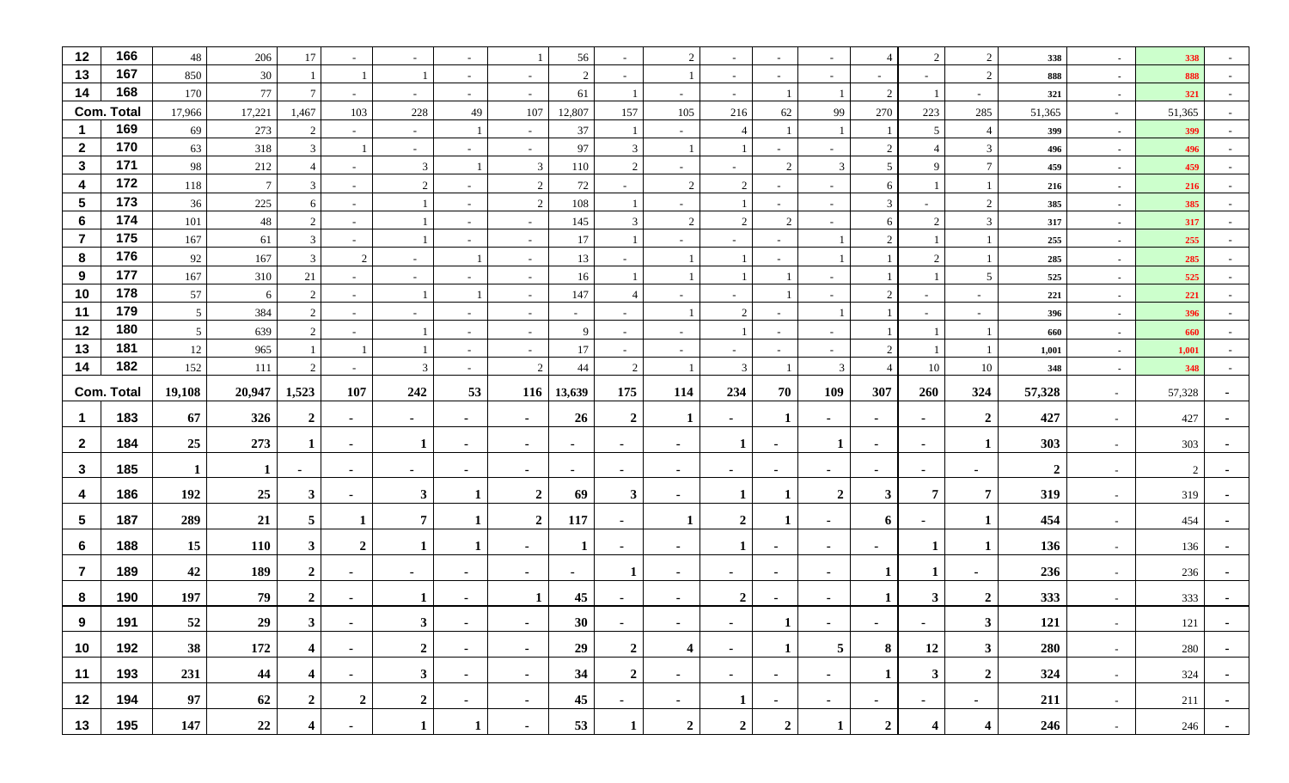| 12                      | 166               | 48              | 206             | 17                      |                          | $\sim$         |                          |                          | 56             | $\overline{\phantom{a}}$ | 2                        | $\sim$           |                          | $\sim$                   | $\overline{4}$ | 2                        | 2                | 338            | $\sim$         | 338    |        |
|-------------------------|-------------------|-----------------|-----------------|-------------------------|--------------------------|----------------|--------------------------|--------------------------|----------------|--------------------------|--------------------------|------------------|--------------------------|--------------------------|----------------|--------------------------|------------------|----------------|----------------|--------|--------|
| 13                      | 167               | 850             | 30              |                         |                          |                | $\overline{\phantom{a}}$ |                          | $\overline{2}$ | $\overline{\phantom{a}}$ |                          | $\sim$           |                          | $\sim$                   |                | $\sim$                   | 2                | 888            | $\sim$         | 888    |        |
| 14                      | 168               | 170             | $77\,$          | 7                       | $\overline{\phantom{a}}$ | $\sim$         | $\sim$                   | $\overline{\phantom{a}}$ | 61             |                          | $\overline{\phantom{a}}$ | $\sim$           |                          |                          | 2              |                          | $\sim$           | 321            | $\sim$         | 321    |        |
|                         | Com. Total        | 17,966          | 17,221          | 1,467                   | 103                      | 228            | 49                       | 107                      | 12,807         | 157                      | 105                      | 216              | 62                       | 99                       | 270            | 223                      | 285              | 51,365         | $\sim$         | 51,365 |        |
| $\mathbf 1$             | 169               | 69              | 273             | 2                       |                          | $\sim$         | $\overline{1}$           |                          | 37             |                          |                          | $\overline{4}$   |                          |                          |                | 5 <sup>5</sup>           | $\overline{4}$   | 399            | $\sim$         | 399    |        |
| $\mathbf{2}$            | 170               | 63              | 318             | $\mathbf{3}$            |                          | $\sim$         | $\overline{\phantom{a}}$ | $\sim$                   | 97             | $\mathfrak{Z}$           |                          |                  | $\sim$                   | $\sim$                   | $\overline{2}$ |                          | $\mathfrak{Z}$   | 496            | $\sim$         | 496    | $\sim$ |
| $\mathbf{3}$            | 171               | 98              | 212             | $\overline{4}$          | $\sim$                   | 3              |                          | 3                        | 110            | $\overline{2}$           | $\overline{\phantom{a}}$ | $\sim$           | 2                        | 3                        | 5              | 9                        | $7\phantom{.0}$  | 459            | $\sim$         | 459    |        |
| $\overline{\mathbf{4}}$ | 172               | 118             | $7\phantom{.0}$ | $\mathbf{3}$            | $\sim$                   | 2              |                          | 2                        | 72             | $\sim$                   | 2                        | 2                | $\overline{\phantom{0}}$ | $\sim$                   | 6              |                          |                  | 216            | $\sim$         | 216    |        |
| $\sqrt{5}$              | 173               | 36              | 225             | 6                       | $\overline{\phantom{a}}$ |                |                          | 2                        | 108            |                          |                          |                  |                          | $\sim$                   | 3              |                          | 2                | 385            | $\sim$         | 385    |        |
| 6                       | 174               | 101             | $48\,$          | 2                       | $\blacksquare$           |                |                          |                          | 145            | $\mathfrak{Z}$           | 2                        | 2                | 2                        | $\sim$                   | 6              | 2                        | $\mathbf{3}$     | 317            | $\sim$         | 317    |        |
| $\overline{7}$          | 175               | 167             | 61              | $\mathfrak{Z}$          | $\sim$                   |                | $\sim$                   | $\sim$                   | 17             |                          | $\sim$                   | $\sim$           | $\sim$                   |                          | $\overline{c}$ |                          |                  | 255            | $\sim$         | 255    | $\sim$ |
| 8                       | 176               | 92              | 167             | 3                       | 2                        | $\sim$         |                          | $\overline{\phantom{a}}$ | 13             |                          |                          |                  |                          |                          |                | 2                        |                  | 285            | $\sim$         | 285    |        |
| 9                       | 177               | 167             | 310             | 21                      | $\overline{\phantom{a}}$ | $\sim$         | $\overline{\phantom{a}}$ | $\sim$                   | 16             |                          |                          |                  |                          | $\overline{\phantom{a}}$ |                |                          | 5                | 525            | $\sim$         | 525    |        |
| 10                      | 178               | 57              | 6               | $\overline{2}$          | $\sim$                   |                |                          | $\sim$                   | 147            | $\overline{4}$           |                          | $\sim$           |                          | $\sim$                   | 2              | $\sim$                   |                  | 221            | $\sim$         | 221    |        |
| 11                      | 179               | $\overline{5}$  | 384             | 2                       | $\sim$                   | $\sim$         | $\sim$                   | $\overline{\phantom{a}}$ | $\sim$         | $\sim$                   |                          | 2                |                          | 1                        |                | $\sim$                   | $\sim$           | 396            | $\sim$         | 396    |        |
| 12                      | 180               | $5\phantom{.0}$ | 639             | 2                       | $\sim$                   |                | $\overline{\phantom{a}}$ | $\overline{\phantom{a}}$ | 9              | $\overline{\phantom{a}}$ | $\overline{\phantom{a}}$ |                  | $\sim$                   | $\sim$                   |                |                          |                  | 660            | $\sim$         | 660    |        |
| 13                      | 181               | 12              | 965             |                         |                          |                | $\overline{\phantom{a}}$ | $\overline{\phantom{a}}$ | 17             | $\overline{\phantom{a}}$ |                          | $\sim$           |                          | $\sim$                   | 2              |                          |                  | 1,001          | $\sim$         | 1,001  |        |
| 14                      | 182               | 152             | 111             | $\overline{2}$          | $\overline{\phantom{a}}$ | $\mathbf{3}$   | $\overline{\phantom{a}}$ | 2                        | 44             | 2                        |                          | $\mathfrak{Z}$   |                          | 3                        | $\overline{4}$ | 10                       | 10               | 348            | $\sim$         | 348    |        |
|                         | <b>Com. Total</b> | 19,108          | 20,947          | 1,523                   | 107                      | 242            | 53                       | 116                      | 13,639         | 175                      | 114                      | 234              | 70                       | 109                      | 307            | 260                      | 324              | 57,328         | $\sim$         | 57,328 |        |
| $\mathbf 1$             | 183               | 67              | 326             | $\overline{2}$          | $\sim$                   | $\sim$         | $\blacksquare$           | $\sim$                   | 26             | $\overline{2}$           | -1                       | $\sim$           | $\mathbf{1}$             | $\blacksquare$           | $\blacksquare$ | $\sim$                   | $\overline{2}$   | 427            | $\sim$         | 427    |        |
| $\mathbf{2}$            | 184               | 25              | 273             | $\mathbf 1$             | $\sim$                   | 1              | $\blacksquare$           | $\sim$                   | $\blacksquare$ | $\blacksquare$           | $\blacksquare$           | $\mathbf{1}$     | $\blacksquare$           | $\mathbf{1}$             | $\blacksquare$ | $\overline{\phantom{0}}$ | 1                | 303            | $\sim$         | 303    |        |
| $\mathbf{3}$            | 185               | $\mathbf{1}$    | -1              | $\sim$                  | $\sim$                   | $\sim$         | $\blacksquare$           | $\sim$                   | $\sim$         | $\sim$                   | $\blacksquare$           | $\sim$           | $\blacksquare$           | $\sim$                   | $\sim$         | $\sim$                   | $\blacksquare$   | $\overline{2}$ | $\sim$         | 2      |        |
|                         | 186               | 192             | 25              | $\mathbf{3}$            |                          | $\mathbf{3}$   | -1                       | $\overline{2}$           | 69             | $\mathbf{3}$             |                          | -1               | -1                       | $\overline{2}$           | $\mathbf{3}$   | $\overline{7}$           | $\overline{7}$   | 319            |                | 319    |        |
| 4                       |                   |                 |                 |                         | $\sim$                   |                |                          |                          |                |                          | ٠                        |                  |                          |                          |                |                          |                  |                | $\sim$         |        |        |
| $\sqrt{5}$              | 187               | 289             | 21              | 5 <sup>5</sup>          | -1                       | $\overline{7}$ | 1                        | $\overline{2}$           | 117            | $\blacksquare$           | 1                        | $\boldsymbol{2}$ | -1                       | ٠                        | 6              | $\overline{\phantom{0}}$ | $\mathbf{1}$     | 454            | $\sim$         | 454    |        |
| 6                       | 188               | 15              | <b>110</b>      | $3^{\circ}$             | $\overline{2}$           | 1              | -1                       | $\sim$                   | 1              | $\blacksquare$           | $\blacksquare$           | 1                | $\blacksquare$           | $\sim$                   | $\sim$         | 1                        | 1                | 136            | $\sim$         | 136    |        |
| $\overline{7}$          | 189               | 42              | 189             | $\mathbf{2}$            | $\sim$                   | $\sim$         | $\blacksquare$           | $\sim$                   | $\blacksquare$ | 1                        | $\blacksquare$           | $\sim$           | $\blacksquare$           | $\sim$                   | $\mathbf{1}$   |                          | $\blacksquare$   | 236            | $\sim$         | 236    |        |
| 8                       | 190               | 197             | 79              | $\mathbf{2}$            | $\blacksquare$           | -1             |                          |                          | 45             |                          |                          | $\boldsymbol{2}$ |                          | $\blacksquare$           |                | 3 <sup>1</sup>           | $\boldsymbol{2}$ | 333            | $\blacksquare$ | 333    |        |
| 9                       | 191               | 52              | 29              | 3 <sup>1</sup>          | $\sim$                   | 3 <sup>1</sup> | $\sim$                   | $\sim$                   | 30             | $\sim$                   | $\sim$                   | $\sim$           | $\mathbf{I}$             | $\sim$                   | $\sim$         | $\sim$                   | 3 <sup>1</sup>   | 121            | $\sim$         | 121    | $\sim$ |
| 10                      | 192               | 38              | 172             | $\overline{\mathbf{4}}$ | $\sim$                   | $\overline{2}$ | $\sim$                   | $\sim$                   | 29             | $\overline{2}$           | $\overline{\mathbf{4}}$  | $\sim$           | $\mathbf{1}$             | 5 <sub>5</sub>           | 8              | 12                       | 3                | 280            | $\sim$ $-$     | 280    | $\sim$ |
| 11                      | 193               | 231             | 44              | $\overline{\mathbf{4}}$ | $\sim$                   | 3 <sup>1</sup> | $\blacksquare$           | $\sim$                   | 34             | $\overline{2}$           | $\sim$                   | $\sim$           | $\sim$                   | $\sim$                   | $\mathbf{1}$   | 3 <sup>1</sup>           | $\overline{2}$   | 324            | $\sim$         | 324    | $\sim$ |
| 12                      | 194               | 97              | 62              | $\overline{2}$          | $\boldsymbol{2}$         | $\mathbf{2}$   | $\sim$                   | $\sim$                   | 45             | $\sim$                   | $\sim$                   | 1                | $\sim$                   | $\sim$                   | $\sim$         | $\sim$                   | $\sim$           | 211            | $\sim$         | 211    | $\sim$ |
|                         |                   |                 |                 |                         |                          |                |                          |                          |                |                          |                          |                  |                          |                          |                |                          |                  |                |                |        |        |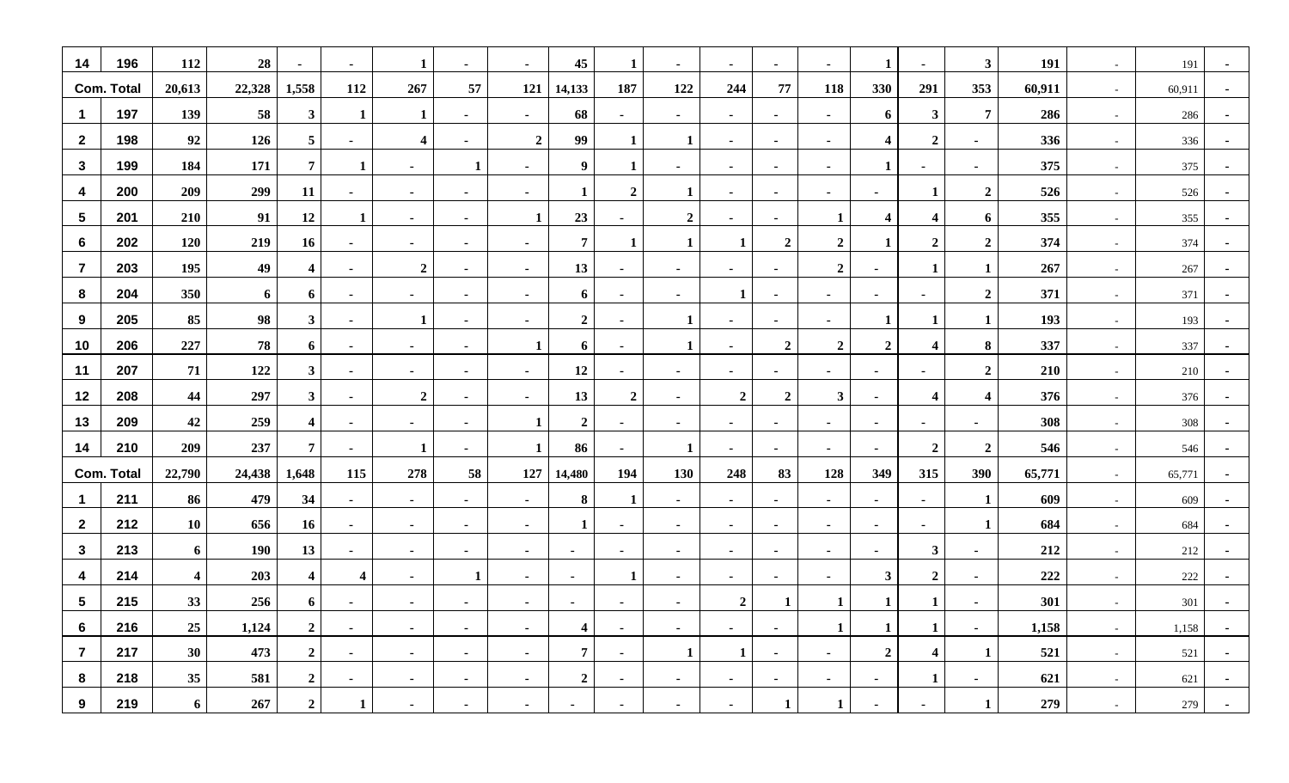| 14                      | 196               | 112                     | 28     | $\sim$                  | $\sim$                  | 1                       | $\blacksquare$ | $\sim$           | 45                      | 1                | $\sim$           | $\sim$           | $\blacksquare$ | $\blacksquare$   | $\mathbf{1}$            | $\sim$                  | $\mathbf{3}$            | 191    | $\sim$ | 191    | $\blacksquare$ |
|-------------------------|-------------------|-------------------------|--------|-------------------------|-------------------------|-------------------------|----------------|------------------|-------------------------|------------------|------------------|------------------|----------------|------------------|-------------------------|-------------------------|-------------------------|--------|--------|--------|----------------|
|                         | <b>Com. Total</b> | 20,613                  | 22,328 | 1,558                   | 112                     | 267                     | 57             | 121              | 14,133                  | 187              | 122              | 244              | 77             | 118              | 330                     | 291                     | 353                     | 60,911 | $\sim$ | 60,911 |                |
| $\mathbf{1}$            | 197               | 139                     | 58     | 3 <sup>1</sup>          | $\mathbf{1}$            | $\mathbf{1}$            | $\sim$         | $\sim$           | 68                      | $\sim$           | $\sim$           | $\sim$           | $\sim$         | $\sim$           | 6                       | $\mathbf{3}$            | $7\phantom{.0}$         | 286    | $\sim$ | 286    |                |
| $\overline{2}$          | 198               | 92                      | 126    | 5 <sub>5</sub>          | $\sim$                  | $\overline{\mathbf{4}}$ | $\sim$         | $\boldsymbol{2}$ | 99                      | $\mathbf{1}$     | $\mathbf{1}$     | $\sim$           | $\blacksquare$ | $\sim$           | $\overline{\mathbf{4}}$ | $\overline{2}$          | $\blacksquare$          | 336    | $\sim$ | 336    | $\sim$         |
| $\mathbf{3}$            | 199               | 184                     | 171    | $7\overline{ }$         | 1                       | $\sim$                  | $\mathbf{1}$   | $\sim$           | 9                       | $\mathbf 1$      | $\sim$           | $\sim$           | $\blacksquare$ | $\sim$           | $\mathbf{1}$            | $\sim$                  | $\blacksquare$          | 375    | $\sim$ | 375    | $\blacksquare$ |
| $\overline{4}$          | 200               | 209                     | 299    | 11                      | $\sim$                  | $\sim$                  | $\sim$         | $\sim$           | $\mathbf{1}$            | $\boldsymbol{2}$ | $\mathbf{1}$     | $\sim$           | $\blacksquare$ | $\sim$           | $\sim$                  | $\mathbf{1}$            | $\boldsymbol{2}$        | 526    | $\sim$ | 526    |                |
| $\sqrt{5}$              | 201               | 210                     | 91     | 12                      | $\mathbf{1}$            | $\sim$                  | $\blacksquare$ | $\mathbf{1}$     | 23                      | $\sim$           | $\boldsymbol{2}$ | $\sim$           | $\blacksquare$ | $\mathbf{1}$     | $\overline{\mathbf{4}}$ | $\overline{\mathbf{4}}$ | 6                       | 355    | $\sim$ | 355    |                |
| $6\phantom{1}6$         | 202               | 120                     | 219    | 16                      | $\sim$                  | $\sim$                  | $\blacksquare$ | $\sim$           | $\overline{7}$          | -1               | $\mathbf{1}$     | 1                | $\overline{2}$ | $\overline{2}$   | 1                       | $\overline{2}$          | $\overline{2}$          | 374    | $\sim$ | 374    |                |
| $\overline{7}$          | 203               | 195                     | 49     | $\overline{\mathbf{4}}$ | $\sim$                  | $\overline{2}$          | $\blacksquare$ | $\sim$           | 13                      | $\sim$           | $\sim$           | $\sim$           | $\blacksquare$ | $\overline{2}$   | $\sim$                  | 1                       | $\mathbf{1}$            | 267    | $\sim$ | 267    |                |
| 8                       | 204               | 350                     | 6      | 6                       | $\blacksquare$          | $\sim$                  | $\blacksquare$ | $\sim$           | 6                       | $\sim$           | $\sim$           | 1                | $\blacksquare$ | $\blacksquare$   | $\blacksquare$          | $\blacksquare$          | $\overline{2}$          | 371    | $\sim$ | 371    |                |
| 9                       | 205               | 85                      | 98     | 3 <sup>1</sup>          | $\sim$                  | $\mathbf{1}$            | $\sim$         | $\blacksquare$   | $\overline{2}$          | $\sim$           | $\mathbf{1}$     | $\sim$           | $\blacksquare$ | $\blacksquare$   | $\mathbf{1}$            | $\mathbf{1}$            | $\mathbf{1}$            | 193    | $\sim$ | 193    | $\blacksquare$ |
| 10                      | 206               | 227                     | 78     | 6                       | $\sim$                  | $\sim$                  | $\sim$         | $\mathbf{1}$     | 6                       | $\sim$           | $\mathbf{1}$     | $\sim$           | $\overline{2}$ | $\boldsymbol{2}$ | $\overline{2}$          | $\overline{\mathbf{4}}$ | 8                       | 337    | $\sim$ | 337    | $\blacksquare$ |
| 11                      | 207               | 71                      | 122    | 3 <sup>1</sup>          | $\sim$                  | $\sim$                  | $\sim$         | $\sim$           | 12                      | $\sim$           | $\sim$           | $\sim$           | $\sim$         | $\sim$           | $\sim$                  | $\sim$                  | $\overline{2}$          | 210    | $\sim$ | 210    | $\blacksquare$ |
| 12                      | 208               | 44                      | 297    | 3 <sup>1</sup>          | $\sim$                  | $\overline{2}$          | $\sim$         | $\sim$           | 13                      | $\overline{2}$   | $\sim$           | $\boldsymbol{2}$ | $\overline{2}$ | $\mathbf{3}$     | $\sim$                  | $\overline{\mathbf{4}}$ | $\overline{\mathbf{4}}$ | 376    | $\sim$ | 376    |                |
| 13                      | 209               | 42                      | 259    | $\overline{\mathbf{4}}$ | $\sim$                  | $\blacksquare$          | $\blacksquare$ | 1                | $\boldsymbol{2}$        | $\sim$           | $\sim$           | $\sim$           | $\blacksquare$ | $\sim$           | $\blacksquare$          | $\blacksquare$          | $\blacksquare$          | 308    | $\sim$ | 308    |                |
| 14                      | 210               | 209                     | 237    | $7\phantom{.0}$         | $\sim$                  | $\mathbf 1$             | $\sim$         | $\mathbf{1}$     | 86                      | $\sim$           | $\mathbf{1}$     | $\blacksquare$   | $\blacksquare$ | $\sim$           | $\sim$                  | $\overline{2}$          | $\overline{2}$          | 546    | $\sim$ | 546    |                |
|                         | <b>Com. Total</b> | 22,790                  | 24,438 | 1,648                   | 115                     | 278                     | 58             | 127              | 14,480                  | 194              | 130              | 248              | 83             | 128              | 349                     | 315                     | 390                     | 65,771 | $\sim$ | 65,771 |                |
| $\blacktriangleleft$    | 211               | 86                      | 479    | 34                      | $\sim$                  | $\sim$                  | $\sim$         | $\sim$           | 8                       | $\mathbf 1$      | $\sim$           | $\sim$           | $\blacksquare$ | $\blacksquare$   | $\sim$                  | $\sim$                  | $\mathbf{1}$            | 609    | $\sim$ | 609    |                |
| $\mathbf{2}$            | 212               | 10                      | 656    | 16                      | $\sim$                  | $\sim$                  | $\sim$         | $\sim$           | $\mathbf{1}$            | $\sim$           | $\sim$           | $\sim$           | $\sim$         | $\sim$           | $\sim$                  | $\sim$                  | $\mathbf{1}$            | 684    | $\sim$ | 684    | $\blacksquare$ |
| $\mathbf{3}$            | 213               | 6                       | 190    | 13                      | $\sim$                  | $\sim$                  | $\sim$         | $\sim$           | $\sim$                  | $\sim$           | $\sim$           | $\sim$           | $\blacksquare$ | $\sim$           | $\sim$                  | $\mathbf{3}$            | $\blacksquare$          | 212    | $\sim$ | 212    | $\sim$         |
| $\overline{\mathbf{4}}$ | 214               | $\overline{\mathbf{4}}$ | 203    | $\overline{\mathbf{4}}$ | $\overline{\mathbf{4}}$ | $\sim$                  | $\mathbf{1}$   | $\sim$           | $\sim$                  | -1               | $\sim$           | $\sim$           | $\blacksquare$ | $\sim$           | $\mathbf{3}$            | $\overline{2}$          | $\blacksquare$          | 222    | $\sim$ | 222    |                |
| $5\phantom{.0}$         | 215               | 33                      | 256    | 6                       | $\sim$                  | $\sim$                  | $\blacksquare$ | $\sim$           | $\sim$                  | $\sim$           | $\sim$           | $\overline{2}$   | -1             | 1                | 1                       | $\mathbf{1}$            | $\blacksquare$          | 301    | $\sim$ | 301    |                |
| 6                       | 216               | 25                      | 1,124  | $\overline{2}$          | $\sim$                  | $\sim$                  | $\blacksquare$ | $\overline{a}$   | $\overline{\mathbf{4}}$ | $\sim$           | $\sim$           | $\blacksquare$   | $\blacksquare$ | 1                | 1                       | 1                       | $\sim$                  | 1,158  | $\sim$ | 1,158  |                |
| $\overline{7}$          | 217               | 30                      | 473    | $\overline{2}$          | $\sim$                  | $\sim$                  | $\blacksquare$ | $\sim$           | $\overline{7}$          | $\sim$           | $\mathbf{1}$     | 1                | $\sim$         | $\sim$           | $\overline{2}$          | $\overline{4}$          | $\mathbf{1}$            | 521    | $\sim$ | 521    |                |
| 8                       | 218               | 35                      | 581    | $\overline{2}$          | $\sim$                  | $\sim$                  | $\blacksquare$ | $\sim$           | $\overline{2}$          | $\blacksquare$   |                  | $\blacksquare$   | $\blacksquare$ | $\sim$           |                         | 1                       | $\blacksquare$          | 621    | $\sim$ | 621    |                |
| 9                       | 219               | 6                       | 267    | $\overline{2}$          | $\mathbf{1}$            | $\blacksquare$          |                | $\sim$           | $\blacksquare$          |                  |                  |                  | -1             | 1                |                         | $\blacksquare$          | $\mathbf{1}$            | 279    |        | 279    |                |